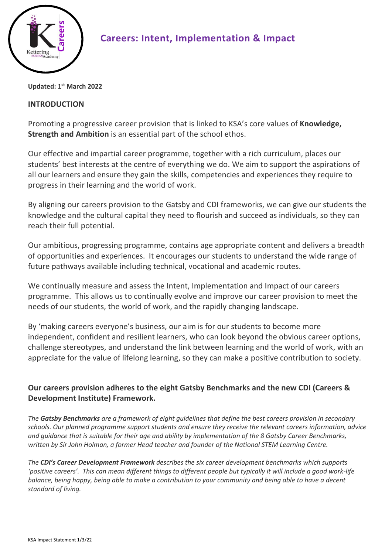

## **Careers: Intent, Implementation & Impact**

**Updated: 1 st March 2022**

#### **INTRODUCTION**

Promoting a progressive career provision that is linked to KSA's core values of **Knowledge, Strength and Ambition** is an essential part of the school ethos.

Our effective and impartial career programme, together with a rich curriculum, places our students' best interests at the centre of everything we do. We aim to support the aspirations of all our learners and ensure they gain the skills, competencies and experiences they require to progress in their learning and the world of work.

By aligning our careers provision to the Gatsby and CDI frameworks, we can give our students the knowledge and the cultural capital they need to flourish and succeed as individuals, so they can reach their full potential.

Our ambitious, progressing programme, contains age appropriate content and delivers a breadth of opportunities and experiences. It encourages our students to understand the wide range of future pathways available including technical, vocational and academic routes.

We continually measure and assess the Intent, Implementation and Impact of our careers programme. This allows us to continually evolve and improve our career provision to meet the needs of our students, the world of work, and the rapidly changing landscape.

By 'making careers everyone's business, our aim is for our students to become more independent, confident and resilient learners, who can look beyond the obvious career options, challenge stereotypes, and understand the link between learning and the world of work, with an appreciate for the value of lifelong learning, so they can make a positive contribution to society.

#### **Our careers provision adheres to the eight Gatsby Benchmarks and the new CDI (Careers & Development Institute) Framework.**

*The Gatsby Benchmarks are a framework of eight guidelines that define the best careers provision in secondary schools. Our planned programme support students and ensure they receive the relevant careers information, advice and guidance that is suitable for their age and ability by implementation of the 8 Gatsby Career Benchmarks, written by Sir John Holman, a former Head teacher and founder of the National STEM Learning Centre.*

*The CDI's Career Development Framework describes the six career development benchmarks which supports 'positive careers'. This can mean different things to different people but typically it will include a good work-life balance, being happy, being able to make a contribution to your community and being able to have a decent standard of living.*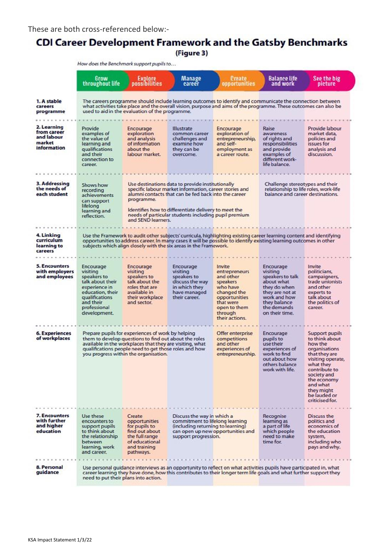# **CDI Career Development Framework and the Gatsby Benchmarks**

(Figure 3)

|                                                                   | How does the Benchmark support pupils to                                                                                                                                                                                                                                                                       |                                                                                                                                                                                                                                                                                                                                                                                                                                        |                                                                                                                                   |                                                                                                                                                        |                                                                                                                                                             |                                                                                                                                                                                                                                    |
|-------------------------------------------------------------------|----------------------------------------------------------------------------------------------------------------------------------------------------------------------------------------------------------------------------------------------------------------------------------------------------------------|----------------------------------------------------------------------------------------------------------------------------------------------------------------------------------------------------------------------------------------------------------------------------------------------------------------------------------------------------------------------------------------------------------------------------------------|-----------------------------------------------------------------------------------------------------------------------------------|--------------------------------------------------------------------------------------------------------------------------------------------------------|-------------------------------------------------------------------------------------------------------------------------------------------------------------|------------------------------------------------------------------------------------------------------------------------------------------------------------------------------------------------------------------------------------|
|                                                                   | Grow<br>throughout life                                                                                                                                                                                                                                                                                        | <b>Explore</b><br>possibilities                                                                                                                                                                                                                                                                                                                                                                                                        | <b>Manage</b><br>career                                                                                                           | <b>Create</b><br>opportunities                                                                                                                         | <b>Balance life</b><br>and work                                                                                                                             | See the big<br>pieture                                                                                                                                                                                                             |
| 1. A stable<br>careers<br>programme                               | The careers programme should include learning outcomes to identify and communicate the connection between<br>what activities take place and the overall vision, purpose and aims of the programme. These outcomes can also be<br>used to aid in the evaluation of the programme.                               |                                                                                                                                                                                                                                                                                                                                                                                                                                        |                                                                                                                                   |                                                                                                                                                        |                                                                                                                                                             |                                                                                                                                                                                                                                    |
| 2. Learning<br>from career<br>and labour<br>market<br>information | Provide<br>examples of<br>the value of<br>learning and<br>qualifications<br>and their<br>connection to<br>career.                                                                                                                                                                                              | Encourage<br>exploration<br>and analysis<br>of information<br>about the<br>labour market.                                                                                                                                                                                                                                                                                                                                              | <b>Illustrate</b><br>common career<br>challenges and<br>examine how<br>they can be<br>overcome.                                   | Encourage<br>exploration of<br>entrepreneurship,<br>and self-<br>employment as<br>a career route.                                                      | Raise<br>awareness<br>of rights and<br>responsibilities<br>and provide<br>examples of<br>different work-<br>life balance.                                   | Provide labour<br>market data.<br>policies and<br>issues for<br>analysis and<br>discussion.                                                                                                                                        |
|                                                                   |                                                                                                                                                                                                                                                                                                                |                                                                                                                                                                                                                                                                                                                                                                                                                                        |                                                                                                                                   |                                                                                                                                                        |                                                                                                                                                             |                                                                                                                                                                                                                                    |
| 3. Addressing<br>the needs of<br>each student                     | Shows how<br>recording<br>achievements<br>can support<br>lifelong<br>learning and<br>reflection.                                                                                                                                                                                                               | Use destinations data to provide institutionally<br>Challenge stereotypes and their<br>specific labour market information, career stories and<br>relationship to life roles, work-life<br>balance and career destinations.<br>alumni contacts that can be fed back into the career<br>programme.<br>Identifies how to differentiate delivery to meet the<br>needs of particular students including pupil premium<br>and SEND learners. |                                                                                                                                   |                                                                                                                                                        |                                                                                                                                                             |                                                                                                                                                                                                                                    |
|                                                                   |                                                                                                                                                                                                                                                                                                                |                                                                                                                                                                                                                                                                                                                                                                                                                                        |                                                                                                                                   |                                                                                                                                                        |                                                                                                                                                             |                                                                                                                                                                                                                                    |
| 4. Linking<br>curriculum<br>learning to<br>careers                | Use the Framework to audit other subjects' curricula, highlighting existing career learning content and identifying<br>opportunities to address career. In many cases it will be possible to identify existing learning outcomes in other<br>subjects which align closely with the six areas in the Framework. |                                                                                                                                                                                                                                                                                                                                                                                                                                        |                                                                                                                                   |                                                                                                                                                        |                                                                                                                                                             |                                                                                                                                                                                                                                    |
|                                                                   |                                                                                                                                                                                                                                                                                                                |                                                                                                                                                                                                                                                                                                                                                                                                                                        |                                                                                                                                   |                                                                                                                                                        |                                                                                                                                                             |                                                                                                                                                                                                                                    |
| <b>5. Encounters</b><br>with employers<br>and employees           | Encourage<br>visiting<br>speakers to<br>talk about their<br>experience in<br>education, their<br>qualifications<br>and their<br>professional<br>development.                                                                                                                                                   | Encourage<br>visiting<br>speakers to<br>talk about the<br>roles that are<br>available in<br>their workplace<br>and sector.                                                                                                                                                                                                                                                                                                             | Encourage<br>visiting<br>speakers to<br>discuss the way<br>in which they<br>have managed<br>their career.                         | Invite<br>entrepreneurs<br>and other<br>speakers<br>who have<br>changed the<br>opportunities<br>that were<br>open to them<br>through<br>their actions. | Encourage<br>visiting<br>speakers to talk<br>about what<br>they do when<br>they are not at<br>work and how<br>they balance<br>the demands<br>on their time. | Invite<br>politicians,<br>campaigners,<br>trade unionists<br>and other<br>experts to<br>talk about<br>the politics of<br>career.                                                                                                   |
|                                                                   |                                                                                                                                                                                                                                                                                                                |                                                                                                                                                                                                                                                                                                                                                                                                                                        |                                                                                                                                   |                                                                                                                                                        |                                                                                                                                                             |                                                                                                                                                                                                                                    |
| <b>6. Experiences</b><br>of workplaces                            |                                                                                                                                                                                                                                                                                                                | Prepare pupils for experiences of work by helping<br>them to develop questions to find out about the roles<br>available in the workplaces that they are visiting, what<br>qualifications people need to get those roles and how<br>you progress within the organisation.                                                                                                                                                               |                                                                                                                                   | Offer enterprise<br>competitions<br>and other<br>experiences of<br>entrepreneurship.                                                                   | Encourage<br>pupils to<br>use their<br>experiences of<br>work to find<br>out about how<br>others balance<br>work with life.                                 | <b>Support pupils</b><br>to think about<br>how the<br>organisations<br>that they are<br>visiting operate,<br>what they<br>contribute to<br>society and<br>the economy<br>and what<br>they might<br>be lauded or<br>criticised for. |
| 7. Encounters                                                     | Use these                                                                                                                                                                                                                                                                                                      | Create                                                                                                                                                                                                                                                                                                                                                                                                                                 | Discuss the way in which a                                                                                                        |                                                                                                                                                        | Recognise                                                                                                                                                   | Discuss the                                                                                                                                                                                                                        |
| with further<br>and higher<br>education                           | encounters to<br>support pupils<br>to think about<br>the relationship<br>between<br>learning, work<br>and career.                                                                                                                                                                                              | opportunities<br>for pupils to<br>find out about<br>the full range<br>of educational<br>and training<br>pathways.                                                                                                                                                                                                                                                                                                                      | commitment to lifelong learning<br>(including returning to learning)<br>can open up new opportunities and<br>support progression. |                                                                                                                                                        | learning as<br>a part of life<br>which people<br>need to make<br>time for.                                                                                  | politics and<br>economics of<br>the education<br>system,<br>including who<br>pays and why.                                                                                                                                         |
|                                                                   |                                                                                                                                                                                                                                                                                                                |                                                                                                                                                                                                                                                                                                                                                                                                                                        |                                                                                                                                   |                                                                                                                                                        |                                                                                                                                                             |                                                                                                                                                                                                                                    |
| 8. Personal<br>quidance                                           | Use personal guidance interviews as an opportunity to reflect on what activities pupils have participated in, what<br>career learning they have done, how this contributes to their longer term life goals and what further support they<br>need to put their plans into action.                               |                                                                                                                                                                                                                                                                                                                                                                                                                                        |                                                                                                                                   |                                                                                                                                                        |                                                                                                                                                             |                                                                                                                                                                                                                                    |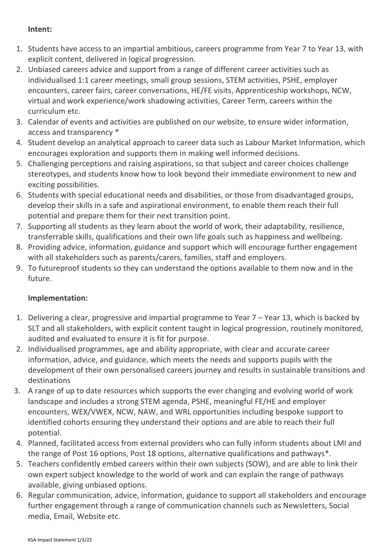#### **Intent:**

- 1. Students have access to an impartial ambitious, careers programme from Year 7 to Year 13, with explicit content, delivered in logical progression.
- 2. Unbiased careers advice and support from a range of different career activities such as individualised 1:1 career meetings, small group sessions, STEM activities, PSHE, employer encounters, career fairs, career conversations, HE/FE visits, Apprenticeship workshops, NCW, virtual and work experience/work shadowing activities, Career Term, careers within the curriculum etc.
- 3. Calendar of events and activities are published on our website, to ensure wider information, access and transparency \*
- 4. Student develop an analytical approach to career data such as Labour Market Information, which encourages exploration and supports them in making well informed decisions.
- 5. Challenging perceptions and raising aspirations, so that subject and career choices challenge stereotypes, and students know how to look beyond their immediate environment to new and exciting possibilities.
- 6. Students with special educational needs and disabilities, or those from disadvantaged groups, develop their skills in a safe and aspirational environment, to enable them reach their full potential and prepare them for their next transition point.
- 7. Supporting all students as they learn about the world of work, their adaptability, resilience, transferrable skills, qualifications and their own life goals such as happiness and wellbeing.
- 8. Providing advice, information, guidance and support which will encourage further engagement with all stakeholders such as parents/carers, families, staff and employers.
- 9. To futureproof students so they can understand the options available to them now and in the future.

### **Implementation:**

- 1. Delivering a clear, progressive and impartial programme to Year 7 Year 13, which is backed by SLT and all stakeholders, with explicit content taught in logical progression, routinely monitored, audited and evaluated to ensure it is fit for purpose.
- 2. Individualised programmes, age and ability appropriate, with clear and accurate career information, advice, and guidance, which meets the needs and supports pupils with the development of their own personalised careers journey and results in sustainable transitions and destinations
- 3. A range of up to date resources which supports the ever changing and evolving world of work landscape and includes a strong STEM agenda, PSHE, meaningful FE/HE and employer encounters, WEX/VWEX, NCW, NAW, and WRL opportunities including bespoke support to identified cohorts ensuring they understand their options and are able to reach their full potential.
- 4. Planned, facilitated access from external providers who can fully inform students about LMI and the range of Post 16 options, Post 18 options, alternative qualifications and pathways\*.
- 5. Teachers confidently embed careers within their own subjects (SOW), and are able to link their own expert subject knowledge to the world of work and can explain the range of pathways available, giving unbiased options.
- 6. Regular communication, advice, information, guidance to support all stakeholders and encourage further engagement through a range of communication channels such as Newsletters, Social media, Email, Website etc.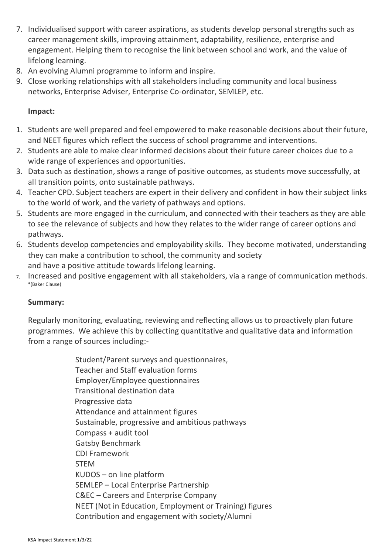- 7. Individualised support with career aspirations, as students develop personal strengths such as career management skills, improving attainment, adaptability, resilience, enterprise and engagement. Helping them to recognise the link between school and work, and the value of lifelong learning.
- 8. An evolving Alumni programme to inform and inspire.
- 9. Close working relationships with all stakeholders including community and local business networks, Enterprise Adviser, Enterprise Co-ordinator, SEMLEP, etc.

#### **Impact:**

- 1. Students are well prepared and feel empowered to make reasonable decisions about their future, and NEET figures which reflect the success of school programme and interventions.
- 2. Students are able to make clear informed decisions about their future career choices due to a wide range of experiences and opportunities.
- 3. Data such as destination, shows a range of positive outcomes, as students move successfully, at all transition points, onto sustainable pathways.
- 4. Teacher CPD. Subject teachers are expert in their delivery and confident in how their subject links to the world of work, and the variety of pathways and options.
- 5. Students are more engaged in the curriculum, and connected with their teachers as they are able to see the relevance of subjects and how they relates to the wider range of career options and pathways.
- 6. Students develop competencies and employability skills. They become motivated, understanding they can make a contribution to school, the community and society and have a positive attitude towards lifelong learning.
- 7. Increased and positive engagement with all stakeholders, via a range of communication methods. \*(Baker Clause)

#### **Summary:**

Regularly monitoring, evaluating, reviewing and reflecting allows us to proactively plan future programmes. We achieve this by collecting quantitative and qualitative data and information from a range of sources including:-

> Student/Parent surveys and questionnaires, Teacher and Staff evaluation forms Employer/Employee questionnaires Transitional destination data Progressive data Attendance and attainment figures Sustainable, progressive and ambitious pathways Compass + audit tool Gatsby Benchmark CDI Framework STEM KUDOS – on line platform SEMLEP – Local Enterprise Partnership C&EC – Careers and Enterprise Company NEET (Not in Education, Employment or Training) figures Contribution and engagement with society/Alumni